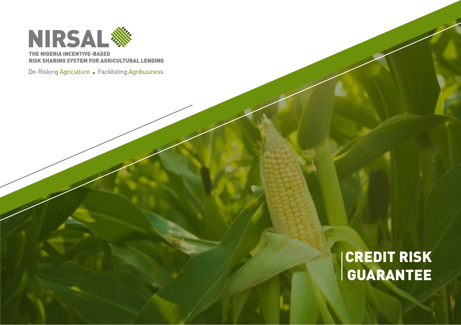

THE NIGERIA INCENTIVE-BASED **RISK SHARING SYSTEM FOR AGRICULTURAL LENDING** 

De-Risking Agriculture . Facilitating Agribusiness

# CREDIT
RISK GUARANTEE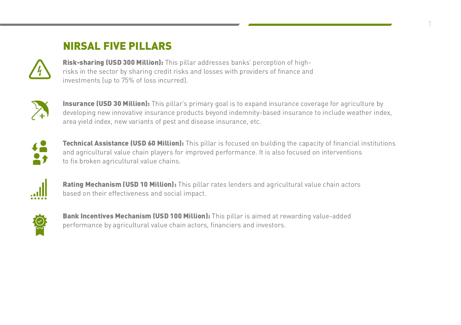# NIRSAL
FIVE
PILLARS



Risk-sharing (USD 300 Million): This pillar addresses banks' perception of highrisks
in
the
sector
by
sharing
credit
risks
and
losses
with
providers
of
finance
and investments
(up
to
75%
of
loss
incurred).



Insurance (USD 30 Million): This pillar's primary goal is to expand insurance coverage for agriculture by developing new innovative insurance products beyond indemnity-based insurance to include weather index, area
yield
index,
new
variants
of
pest
and
disease
insurance,
etc.

1



Technical Assistance (USD 60 Million): This pillar is focused on building the capacity of financial institutions and agricultural value chain players for improved performance. It is also focused on interventions to
fix
broken
agricultural
value
chains.



Rating Mechanism (USD 10 Million): This pillar rates lenders and agricultural value chain actors based
on
their
effectiveness
and
social
impact.



Bank Incentives Mechanism (USD 100 Million): This pillar is aimed at rewarding value-added performance
by
agricultural
value
chain
actors,
financiers
and
investors.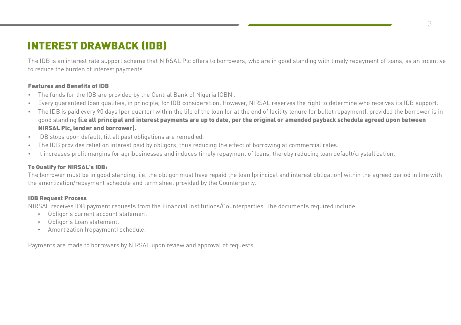## INTEREST
DRAWBACK
(IDB)

The IDB is an interest rate support scheme that NIRSAL Plc offers to borrowers, who are in good standing with timely repayment of loans, as an incentive to
reduce
the
burden
of
interest
payments.

#### Features
and
Benefits
of
IDB

- The
funds
for
the
IDB
are
provided
by
the
Central
Bank
of
Nigeria
(CBN).
- Every quaranteed loan qualifies, in principle, for IDB consideration. However, NIRSAL reserves the right to determine who receives its IDB support.
- The IDB is paid every 90 days (per quarter) within the life of the loan (or at the end of facility tenure for bullet repayment), provided the borrower is in good standing *(i.e all principal and interest payments are up to date, per the original or amended payback schedule agreed upon between* NIRSAL
Plc,
lender
and
borrower).
- IDB
stops
upon
default,
till
all
past
obligations
are
remedied.
- The IDB provides relief on interest paid by obligors, thus reducing the effect of borrowing at commercial rates.
- It increases profit margins for agribusinesses and induces timely repayment of loans, thereby reducing loan default/crystallization.

### To
Qualify
for
NIRSAL's
IDB:

The borrower must be in good standing, i.e. the obligor must have repaid the loan (principal and interest obligation) within the agreed period in line with the
amortization/repayment
schedule
and
term
sheet
provided
by
the
Counterparty.

#### IDB
Request
Process

NIRSAL receives IDB payment requests from the Financial Institutions/Counterparties. The documents required include:

- Obligor's
current
account
statement
- Obligor's
Loan
statement.
- Amortization
(repayment)
schedule.

Payments are made to borrowers by NIRSAL upon review and approval of requests.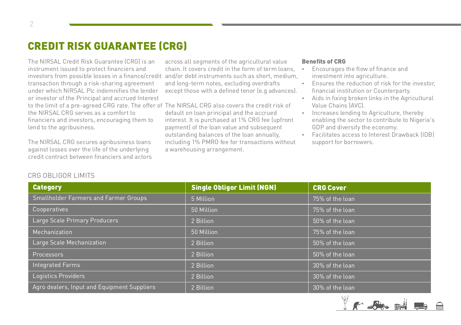### CREDIT
RISK
GUARANTEE
(CRG)

The
NIRSAL
Credit
Risk
Guarantee
(CRG)
is
an instrument
issued
to
protect
financiers
and investors
from
possible
losses
in
a
finance/credit transaction
through
a
risk-sharing
agreement under
which
NIRSAL
Plc
indemnifies
the
lender or
investor
of
the
Principal
and
accrued
Interest to the limit of a pre-agreed CRG rate. The offer of The NIRSAL CRG also covers the credit risk of the
NIRSAL
CRG
serves
as
a
comfort
to financiers
and
investors,
encouraging
them
to lend
to
the
agribusiness.

The
NIRSAL
CRG
secures
agribusiness
loans against
losses
over
the
life
of
the
underlying credit
contract
between
financiers
and
actors

across
all
segments
of
the
agricultural
value chain. It covers credit in the form of term loans and/or
debt
instruments
such
as
short,
medium, and
long-term
notes,
excluding
overdrafts except those with a defined tenor (e.g advances).

default
on
loan
principal
and
the
accrued interest.
It
is
purchased
at
1%
CRG
fee
(upfront payment)
of
the
loan
value
and
subsequent outstanding
balances
of
the
loan
annually, including
1%
PMRO
fee
for
transactions
without a
warehousing
arrangement.

#### Benefits
of
CRG

- Encourages
the
flow
of
finance
and investment
into
agriculture.
- Ensures the reduction of risk for the investor. financial
institution
or
Counterparty.
- Aids
in
fixing
broken
links
in
the
Agricultural Value
Chains
(AVC).
- Increases lending to Agriculture, thereby enabling
the
sector
to
contribute
to
Nigeria's GDP
and
diversify
the
economy.
- Facilitates
access
to
Interest
Drawback
(IDB) support
for
borrowers.

| <b>Category</b>                              | <b>Single Obligor Limit (NGN)</b> | <b>CRG Cover</b> |
|----------------------------------------------|-----------------------------------|------------------|
| <b>Smallholder Farmers and Farmer Groups</b> | 5 Million                         | 75% of the loan  |
| Cooperatives                                 | 50 Million                        | 75% of the loan  |
| Large Scale Primary Producers                | 2 Billion                         | 50% of the loan  |
| Mechanization                                | 50 Million                        | 75% of the loan  |
| Large Scale Mechanization                    | 2 Billion                         | 50% of the loan  |
| Processors                                   | 2 Billion                         | 50% of the loan  |
| <b>Integrated Farms</b>                      | 2 Billion                         | 30% of the loan  |
| Logistics Providers                          | 2 Billion                         | 30% of the loan  |
| Agro dealers, Input and Equipment Suppliers  | 2 Billion                         | 30% of the loan  |

#### CRG
OBLIGOR
LIMITS

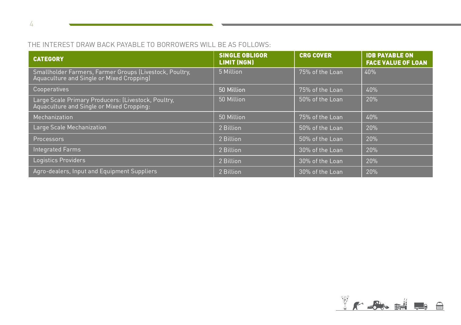### THE INTEREST DRAW BACK PAYABLE TO BORROWERS WILL BE AS FOLLOWS:

| <b>CATEGORY</b>                                                                                      | <b>SINGLE OBLIGOR</b><br><b>LIMIT (NGN)</b> | <b>CRG COVER</b> | <b>IDB PAYABLE ON</b><br><b>FACE VALUE OF LOAN</b> |
|------------------------------------------------------------------------------------------------------|---------------------------------------------|------------------|----------------------------------------------------|
| Smallholder Farmers, Farmer Groups (Livestock, Poultry,<br>Aquaculture and Single or Mixed Cropping) | 5 Million                                   | 75% of the Loan  | 40%                                                |
| Cooperatives                                                                                         | 50 Million                                  | 75% of the Loan  | 40%                                                |
| Large Scale Primary Producers: (Livestock, Poultry,<br>Aquaculture and Single or Mixed Cropping:     | 50 Million                                  | 50% of the Loan  | 20%                                                |
| Mechanization                                                                                        | 50 Million                                  | 75% of the Loan  | 40%                                                |
| Large Scale Mechanization                                                                            | 2 Billion                                   | 50% of the Loan  | 20%                                                |
| Processors                                                                                           | 2 Billion                                   | 50% of the Loan  | 20%                                                |
| <b>Integrated Farms</b>                                                                              | 2 Billion                                   | 30% of the Loan  | 20%                                                |
| Logistics Providers                                                                                  | 2 Billion                                   | 30% of the Loan  | 20%                                                |
| Agro-dealers, Input and Equipment Suppliers                                                          | 2 Billion                                   | 30% of the Loan  | 20%                                                |



4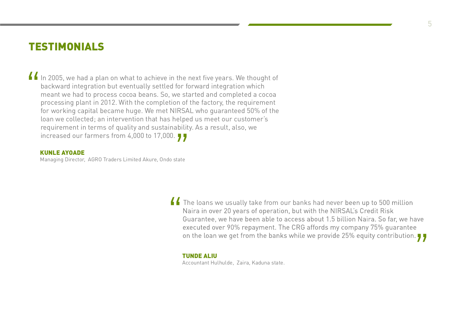### **TESTIMONIALS**

In 2005, we had a plan on what to achieve in the next five years. We thought of backward integration but eventually settled for forward integration which meant we had to process cocoa beans. So, we started and completed a backward
integration
but
eventually
settled
for
forward
integration
which meant
we
had
to
process
cocoa
beans.
So,
we
started
and
completed
a
cocoa processing
plant
in
2012.
With
the
completion
of
the
factory,
the
requirement for
working
capital
became
huge.
We
met
NIRSAL
who
guaranteed
50%
of
the loan
we
collected;
an
intervention
that
has
helped
us
meet
our
customer's requirement in terms of quality and sustainability. As a result, also, we increased our farmers from 4,000 to 17,000. increased our farmers from 4,000 to 17,000.

#### KUNLE
AYOADE

Managing
Director,

AGRO
Traders
Limited
Akure,
Ondo
state

I The loans we usually take from our banks had never<br>Naira in over 20 years of operation, but with the NIRS<br>Guarantee, we have been able to access about 1.5 bi Guarantee, we have been able to access about 1.5 billion Naira. So far, we have executed over 90% repayment. The CRG affords my company 75% guarantee on the loan we get from the banks while we provide 25% equity contribut

#### TUNDE
ALIU

Accountant
Hulhulde,

Zaira,
Kaduna
state.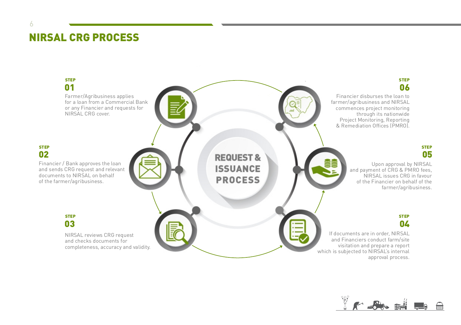## NIRSAL
CRG
PROCESS

6